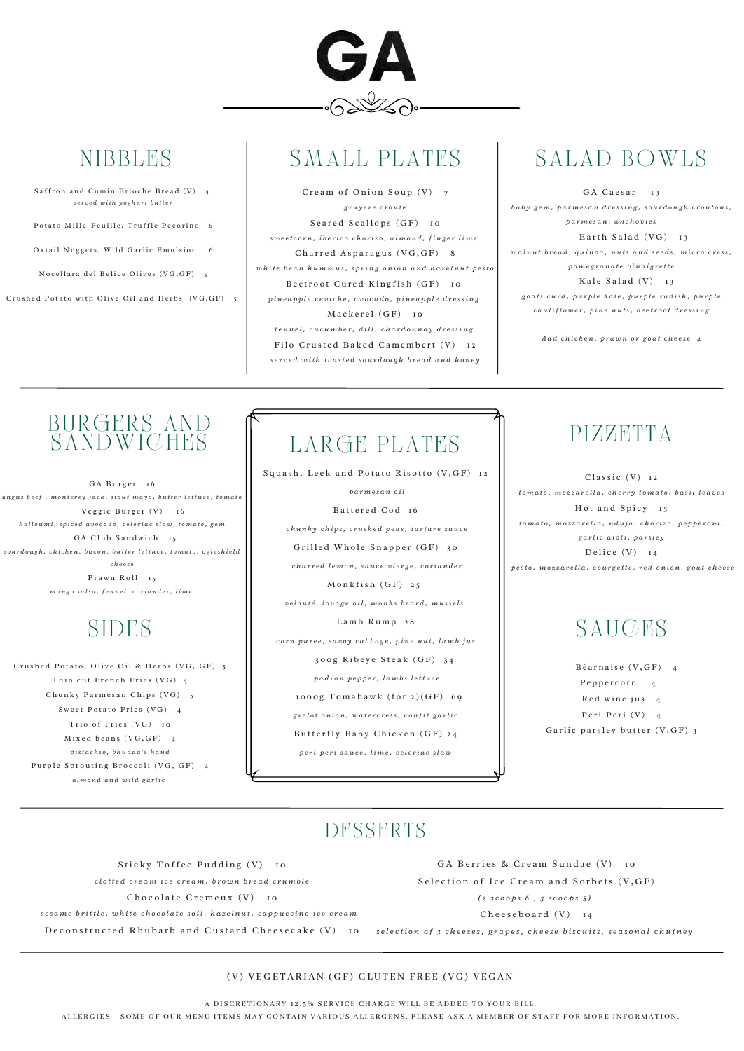

# **NIBBLES**

- Saffron and Cumin Brioche Bread (V) 4 *s e r v e d w i t h y o g h u r t b u t t e r*
- Potato Mille-Feuille, Truffle Pecorino 6
- Oxtail Nuggets, Wild Garlic Emulsion 6
- Nocellara del Belice Olives (VG, GF) 5

Crushed Potato with Olive Oil and Herbs  $(VG, GF)$  5

# SMALL PLATES

Cream of Onion Soup  $(V)$  7 *g r u y e r e c r o u t e* Seared Scallops (GF) 10 sweetcorn, iberico chorizo, almond, finger lime Charred Asparagus (VG, GF) 8 white bean hummus, spring onion and hazelnut pesto Beetroot Cured Kingfish (GF) 10 pineapple ceviche, avocado, pineapple dressing Mackerel (GF) 10 fennel, cucumber, dill, chardonnay dressing Filo Crusted Baked Camembert (V) 12 served with toasted sourdough bread and honey

# SALAD BOWLS

GA Caesar 13 baby gem, parmesan dressing, sourdough croutons, *p a r m e s a n , a n c h o v i e s* Earth Salad  $(VG)$  13 walnut bread, quinoa, nuts and seeds, micro cress, *p o m e g r a n a t e v i n a i g r e t t e* Kale Salad  $(V)$  13

goats curd, purple kale, purple radish, purple cauliflower, pine nuts, beetroot dressing

Add chicken, prawn or goat cheese 4

*p a r m e s a n o i l*

Battered Cod 16

chunky chips, crushed peas, tartare sauce

Grilled Whole Snapper (GF) 30

charred lemon, sauce vierge, coriander

 $Monthly$  onkfish  $(GF)$  25

velouté, lovage oil, monks beard, mussels

Lamb Rump 28 corn puree, savoy cabbage, pine nut, lamb jus

300g Ribeye Steak (GF) 34 *p a d r o n p e p p e r , l a m b s l e t t u c e* 1000g  $Tomahawk$  (for  $2(GF)$  69 grelot onion, watercress, confit garlic Butterfly Baby Chicken (GF) 24 peri peri sauce, lime, celeriac slaw

### PIZZETTA

 $Classic (V)$  12 tomato, mozzarella, cherry tomato, basil leaves Hot and Spicy 15 tomato, mozzarella, nduja, chorizo, pepperoni, *g a r l i c a i o l i , p a r sl e y* Delice  $(V)$  14 pesto, mozzarella, courgette, red onion, goat cheese

# **SAUCES**

 $B \acute{e}$ arnaise (V, GF) 4 Peppercorn 4 Red wine jus 4 Peri Peri (V) 4 Garlic parsley butter  $(V, GF)$  3

### DESSERTS

Sticky Toffee Pudding (V) 10

clotted cream ice cream, brown bread crumble

Chocolate Cremeux (V) 10

sesame brittle, white chocolate soil, hazelnut, cappuccino ice cream

Deconstructed Rhubarb and Custard Cheesecake  $(V)$  10

GA Berries & Cream Sundae (V) 10

Selection of Ice Cream and Sorbets (V, GF)

Crushed Potato, Olive Oil & Herbs (VG, GF) 5 Thin cut French Fries (VG) 4  $Chunkv$  Parmesan Chips  $(VG)$  5 Sweet Potato Fries (VG) 4 Trio of Fries  $(VG)$  10  $Mixed$  beans  $(VG, GF)$  4 p *ist a c h i o , b h u d d a 's h a n d* Purple Sprouting Broccoli (VG, GF) 4 *a l m o n d a n d w i l d g a r l i c*

# LARGE PLATES

Squash, Leek and Potato Risotto (V, GF) 12



GA Burger 16 angus beef, monterey jack, stout mayo, butter lettuce, tomato  $V$ eggie Burger  $(V)$  16 halloumi, spiced avocado, celeriac slaw, tomato, gem GA Club Sandwich 15 sourdough, chicken, bacon, butter lettuce, tomato, ogleshield *c h e e s e* Prawn Roll 15

mango salsa, fennel, coriander, lime

# SIDES

*( 2 s c o o p s 6 , 3 s c o o p s 8 )*

Cheeseboard (V) 14

selection of 3 cheeses, grapes, cheese biscuits, seasonal chutney

### (V) VEGETARIAN (GF) GLUTEN FREE (VG) VEGAN

A DISCRETIONARY 12.5% SERVICE CHARGE WILL BE ADDED TO YOUR BILL.

ALLERGIES - SOME OF OUR MENU ITEMS MAY CONTAIN VARIOUS ALLERGENS. PLEASE ASK A MEMBER OF STAFF FOR MORE INFORMATION.